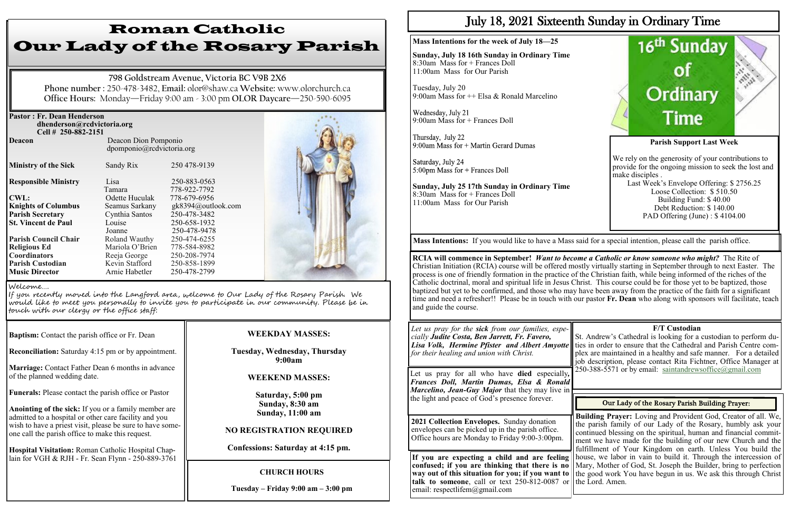| <b>Pastor: Fr. Dean Henderson</b><br>dhenderson@rcdvictoria.org<br>Cell # 250-882-2151 |                                                   |                              |  |
|----------------------------------------------------------------------------------------|---------------------------------------------------|------------------------------|--|
| Deacon                                                                                 | Deacon Dion Pomponio<br>dpomponio@rcdvictoria.org |                              |  |
| <b>Ministry of the Sick</b>                                                            | Sandy Rix                                         | 250 478-9139                 |  |
| <b>Responsible Ministry</b>                                                            | Lisa<br>Tamara                                    | 250-883-0563<br>778-922-7792 |  |
| <b>CWL:</b>                                                                            | Odette Huculak                                    | 778-679-6956                 |  |
| <b>Knights of Columbus</b>                                                             | Seamus Sarkany                                    | gk8394@outlook.com           |  |
| <b>Parish Secretary</b>                                                                | Cynthia Santos                                    | 250-478-3482                 |  |
| <b>St. Vincent de Paul</b>                                                             | Louise                                            | 250-658-1932                 |  |
|                                                                                        | Joanne                                            | 250-478-9478                 |  |
| <b>Parish Council Chair</b>                                                            | Roland Wauthy                                     | 250-474-6255                 |  |
| <b>Religious Ed</b>                                                                    | Mariola O'Brien                                   | 778-584-8982                 |  |
| <b>Coordinators</b>                                                                    | Reeja George                                      | 250-208-7974                 |  |
| <b>Parish Custodian</b>                                                                | Kevin Stafford                                    | 250-858-1899                 |  |
| <b>Music Director</b>                                                                  | Arnie Habetler                                    | 250-478-2799                 |  |

**Baptism:** Contact the parish office or Fr. Dean

**Reconciliation:** Saturday 4:15 pm or by appointment.

**Marriage:** Contact Father Dean 6 months in advance of the planned wedding date.

**Funerals:** Please contact the parish office or Pastor

**Anointing of the sick:** If you or a family member are admitted to a hospital or other care facility and you wish to have a priest visit, please be sure to have someone call the parish office to make this request.

Wednesday, July 21 9:00am Mass for + Frances Doll

Thursday, July 22 9:00am Mass for + Martin Gerard Dumas

Saturday, July 24  $5:00$ pm Mass for + Frances Doll

**Hospital Visitation:** Roman Catholic Hospital Chaplain for VGH & RJH - Fr. Sean Flynn - 250-889-3761

# Roman Catholic Our Lady of the Rosary Parish

**798 Goldstream Avenue, Victoria BC V9B 2X6 Phone number :** 250-478-3482, **Email:** olor@shaw.ca **Website:** www.olorchurch.ca **Office Hours:** Monday—Friday 9:00 am - 3:00 pm **OLOR Daycare**—250-590-6095

## **WEEKDAY MASSES:**

**Tuesday, Wednesday, Thursday 9:00am**

## **WEEKEND MASSES:**

**Saturday, 5:00 pm Sunday, 8:30 am Sunday, 11:00 am** 

## **NO REGISTRATION REQUIRED**

**Confessions: Saturday at 4:15 pm.**

#### Welcome….

If you recently moved into the Langford area, welcome to Our Lady of the Rosary Parish. We would like to meet you personally to invite you to participate in our community. Please be in touch with our clergy or the office staff:

## **CHURCH HOURS**

**Tuesday – Friday 9:00 am – 3:00 pm**

# July 18, 2021 Sixteenth Sunday in Ordinary Time

**Building Prayer:** Loving and Provident God, Creator of all. We, the parish family of our Lady of the Rosary, humbly ask your continued blessing on the spiritual, human and financial commitment we have made for the building of our new Church and the fulfillment of Your Kingdom on earth. Unless You build the If you are expecting a child and are feeling house, we labor in vain to build it. Through the intercession of confused; if you are thinking that there is no || Mary, Mother of God, St. Joseph the Builder, bring to perfection way out of this situation for you; if you want to ll the good work You have begun in us. We ask this through Christ

**Mass Intentions for the week of July 18—25**

**Sunday, July 18 16th Sunday in Ordinary Time** 8:30am Mass for + Frances Doll 11:00am Mass for Our Parish

Tuesday, July 20 9:00am Mass for ++ Elsa & Ronald Marcelino

> St. Andrew's Cathedral is looking for a custodian to perform duties in order to ensure that the Cathedral and Parish Centre complex are maintained in a healthy and safe manner. For a detailed job description, please contact Rita Fichtner, Office Manager at 250-388-5571 or by email: [saintandrewsoffice@gmail.com](mailto:saintandrewsoffice@gmail.com)

## Our Lady of the Rosary Parish Building Prayer:

**Sunday, July 25 17th Sunday in Ordinary Time** 8:30am Mass for + Frances Doll 11:00am Mass for Our Parish



**talk to someone**, call or text  $250-812-0087$  or the Lord. Amen. email: respectlifem@gmail.com

**RCIA will commence in September!** *Want to become a Catholic or know someone who might?* The Rite of Christian Initiation (RCIA) course will be offered mostly virtually starting in September through to next Easter. The process is one of friendly formation in the practice of the Christian faith, while being informed of the riches of the Catholic doctrinal, moral and spiritual life in Jesus Christ. This course could be for those yet to be baptized, those baptized but yet to be confirmed, and those who may have been away from the practice of the faith for a significant time and need a refresher!! Please be in touch with our pastor **Fr. Dean** who along with sponsors will facilitate, teach and guide the course.

**Mass Intentions:** If you would like to have a Mass said for a special intention, please call the parish office.

*Let us pray for the sick from our families, especially Judite Costa, Ben Jarrett, Fr. Favero, Lisa Volk, Hermine Pfister and Albert Amyotte for their healing and union with Christ.*

Let us pray for all who have **died** especially*, Frances Doll, Martin Dumas, Elsa & Ronald Marcelino, Jean-Guy Major* that they may live in the light and peace of God's presence forever.

**2021 Collection Envelopes.** Sunday donation envelopes can be picked up in the parish office. Office hours are Monday to Friday 9:00-3:00pm.

## **F/T Custodian**